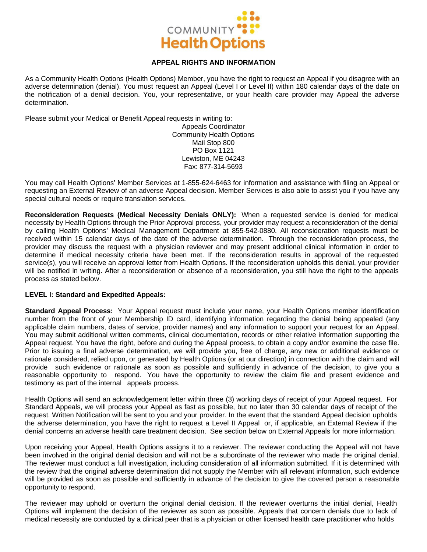

# **APPEAL RIGHTS AND INFORMATION**

As a Community Health Options (Health Options) Member, you have the right to request an Appeal if you disagree with an adverse determination (denial). You must request an Appeal (Level I or Level II) within 180 calendar days of the date on the notification of a denial decision. You, your representative, or your health care provider may Appeal the adverse determination.

Please submit your Medical or Benefit Appeal requests in writing to:

Appeals Coordinator Community Health Options Mail Stop 800 PO Box 1121 Lewiston, ME 04243 Fax: 877-314-5693

You may call Health Options' Member Services at 1-855-624-6463 for information and assistance with filing an Appeal or requesting an External Review of an adverse Appeal decision. Member Services is also able to assist you if you have any special cultural needs or require translation services.

**Reconsideration Requests (Medical Necessity Denials ONLY):** When a requested service is denied for medical necessity by Health Options through the Prior Approval process, your provider may request a reconsideration of the denial by calling Health Options' Medical Management Department at 855-542-0880. All reconsideration requests must be received within 15 calendar days of the date of the adverse determination. Through the reconsideration process, the provider may discuss the request with a physician reviewer and may present additional clinical information in order to determine if medical necessity criteria have been met. If the reconsideration results in approval of the requested service(s), you will receive an approval letter from Health Options. If the reconsideration upholds this denial, your provider will be notified in writing. After a reconsideration or absence of a reconsideration, you still have the right to the appeals process as stated below.

## **LEVEL I: Standard and Expedited Appeals:**

**Standard Appeal Process:** Your Appeal request must include your name, your Health Options member identification number from the front of your Membership ID card, identifying information regarding the denial being appealed (any applicable claim numbers, dates of service, provider names) and any information to support your request for an Appeal. You may submit additional written comments, clinical documentation, records or other relative information supporting the Appeal request. You have the right, before and during the Appeal process, to obtain a copy and/or examine the case file. Prior to issuing a final adverse determination, we will provide you, free of charge, any new or additional evidence or rationale considered, relied upon, or generated by Health Options (or at our direction) in connection with the claim and will provide such evidence or rationale as soon as possible and sufficiently in advance of the decision, to give you a reasonable opportunity to respond. You have the opportunity to review the claim file and present evidence and testimony as part of the internal appeals process.

Health Options will send an acknowledgement letter within three (3) working days of receipt of your Appeal request. For Standard Appeals, we will process your Appeal as fast as possible, but no later than 30 calendar days of receipt of the request. Written Notification will be sent to you and your provider. In the event that the standard Appeal decision upholds the adverse determination, you have the right to request a Level II Appeal or, if applicable, an External Review if the denial concerns an adverse health care treatment decision. See section below on External Appeals for more information.

Upon receiving your Appeal, Health Options assigns it to a reviewer. The reviewer conducting the Appeal will not have been involved in the original denial decision and will not be a subordinate of the reviewer who made the original denial. The reviewer must conduct a full investigation, including consideration of all information submitted. If it is determined with the review that the original adverse determination did not supply the Member with all relevant information, such evidence will be provided as soon as possible and sufficiently in advance of the decision to give the covered person a reasonable opportunity to respond.

The reviewer may uphold or overturn the original denial decision. If the reviewer overturns the initial denial, Health Options will implement the decision of the reviewer as soon as possible. Appeals that concern denials due to lack of medical necessity are conducted by a clinical peer that is a physician or other licensed health care practitioner who holds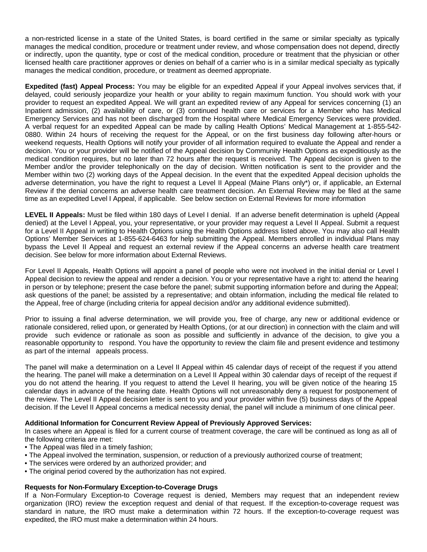a non-restricted license in a state of the United States, is board certified in the same or similar specialty as typically manages the medical condition, procedure or treatment under review, and whose compensation does not depend, directly or indirectly, upon the quantity, type or cost of the medical condition, procedure or treatment that the physician or other licensed health care practitioner approves or denies on behalf of a carrier who is in a similar medical specialty as typically manages the medical condition, procedure, or treatment as deemed appropriate.

**Expedited (fast) Appeal Process:** You may be eligible for an expedited Appeal if your Appeal involves services that, if delayed, could seriously jeopardize your health or your ability to regain maximum function. You should work with your provider to request an expedited Appeal. We will grant an expedited review of any Appeal for services concerning (1) an Inpatient admission, (2) availability of care, or (3) continued health care or services for a Member who has Medical Emergency Services and has not been discharged from the Hospital where Medical Emergency Services were provided. A verbal request for an expedited Appeal can be made by calling Health Options' Medical Management at 1-855-542- 0880. Within 24 hours of receiving the request for the Appeal, or on the first business day following after-hours or weekend requests, Health Options will notify your provider of all information required to evaluate the Appeal and render a decision. You or your provider will be notified of the Appeal decision by Community Health Options as expeditiously as the medical condition requires, but no later than 72 hours after the request is received. The Appeal decision is given to the Member and/or the provider telephonically on the day of decision. Written notification is sent to the provider and the Member within two (2) working days of the Appeal decision. In the event that the expedited Appeal decision upholds the adverse determination, you have the right to request a Level II Appeal (Maine Plans only\*) or, if applicable, an External Review if the denial concerns an adverse health care treatment decision. An External Review may be filed at the same time as an expedited Level I Appeal, if applicable. See below section on External Reviews for more information

**LEVEL II Appeals:** Must be filed within 180 days of Level I denial. If an adverse benefit determination is upheld (Appeal denied) at the Level I Appeal, you, your representative, or your provider may request a Level II Appeal. Submit a request for a Level II Appeal in writing to Health Options using the Health Options address listed above. You may also call Health Options' Member Services at 1-855-624-6463 for help submitting the Appeal. Members enrolled in individual Plans may bypass the Level II Appeal and request an external review if the Appeal concerns an adverse health care treatment decision. See below for more information about External Reviews.

For Level II Appeals, Health Options will appoint a panel of people who were not involved in the initial denial or Level I Appeal decision to review the appeal and render a decision. You or your representative have a right to: attend the hearing in person or by telephone; present the case before the panel; submit supporting information before and during the Appeal; ask questions of the panel; be assisted by a representative; and obtain information, including the medical file related to the Appeal, free of charge (including criteria for appeal decision and/or any additional evidence submitted).

Prior to issuing a final adverse determination, we will provide you, free of charge, any new or additional evidence or rationale considered, relied upon, or generated by Health Options, (or at our direction) in connection with the claim and will provide such evidence or rationale as soon as possible and sufficiently in advance of the decision, to give you a reasonable opportunity to respond. You have the opportunity to review the claim file and present evidence and testimony as part of the internal appeals process.

The panel will make a determination on a Level II Appeal within 45 calendar days of receipt of the request if you attend the hearing. The panel will make a determination on a Level II Appeal within 30 calendar days of receipt of the request if you do not attend the hearing. If you request to attend the Level II hearing, you will be given notice of the hearing 15 calendar days in advance of the hearing date. Health Options will not unreasonably deny a request for postponement of the review. The Level II Appeal decision letter is sent to you and your provider within five (5) business days of the Appeal decision. If the Level II Appeal concerns a medical necessity denial, the panel will include a minimum of one clinical peer.

#### **Additional Information for Concurrent Review Appeal of Previously Approved Services:**

In cases where an Appeal is filed for a current course of treatment coverage, the care will be continued as long as all of the following criteria are met:

- The Appeal was filed in a timely fashion;
- The Appeal involved the termination, suspension, or reduction of a previously authorized course of treatment;
- The services were ordered by an authorized provider; and
- The original period covered by the authorization has not expired.

#### **Requests for Non-Formulary Exception-to-Coverage Drugs**

If a Non-Formulary Exception-to Coverage request is denied, Members may request that an independent review organization (IRO) review the exception request and denial of that request. If the exception-to-coverage request was standard in nature, the IRO must make a determination within 72 hours. If the exception-to-coverage request was expedited, the IRO must make a determination within 24 hours.